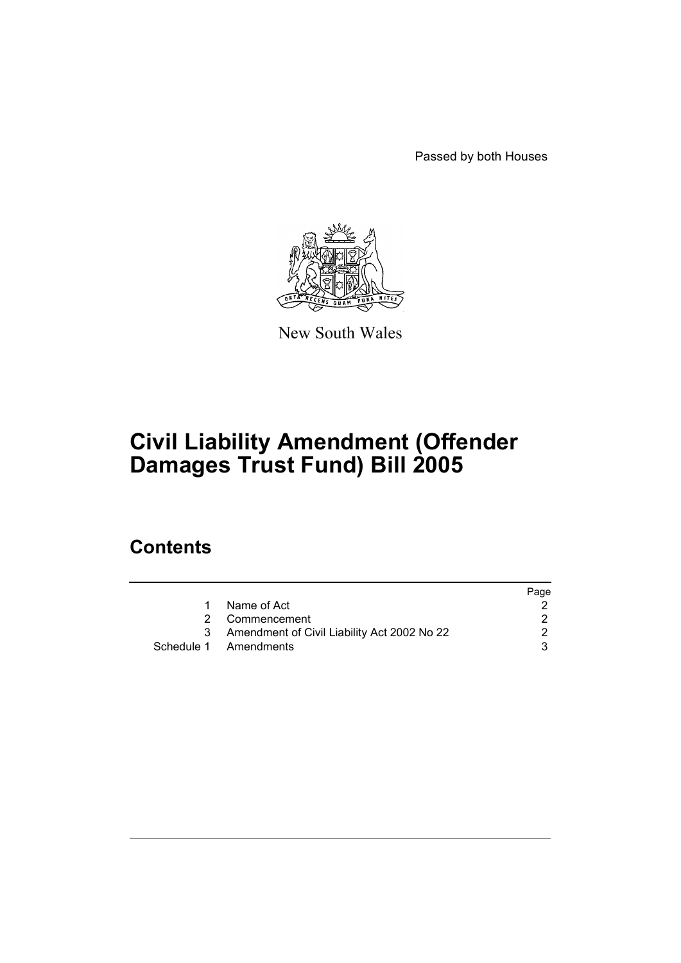Passed by both Houses



New South Wales

# **Civil Liability Amendment (Offender Damages Trust Fund) Bill 2005**

## **Contents**

|                                               | Page |
|-----------------------------------------------|------|
| Name of Act                                   |      |
| 2 Commencement                                |      |
| 3 Amendment of Civil Liability Act 2002 No 22 |      |
| Schedule 1 Amendments                         | 3    |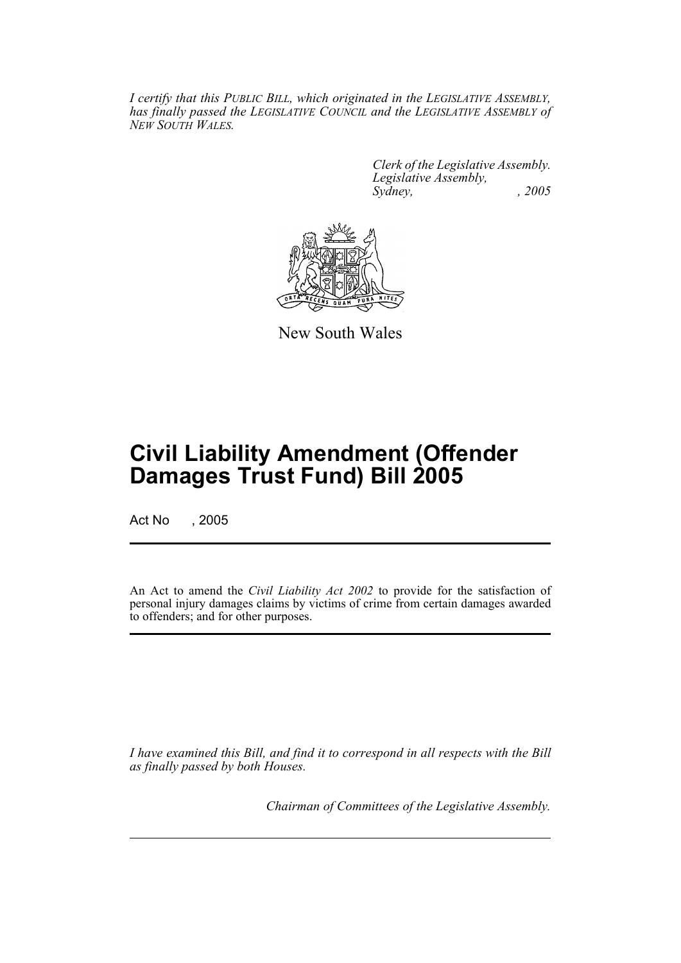*I certify that this PUBLIC BILL, which originated in the LEGISLATIVE ASSEMBLY, has finally passed the LEGISLATIVE COUNCIL and the LEGISLATIVE ASSEMBLY of NEW SOUTH WALES.*

> *Clerk of the Legislative Assembly. Legislative Assembly, Sydney, , 2005*



New South Wales

# **Civil Liability Amendment (Offender Damages Trust Fund) Bill 2005**

Act No , 2005

An Act to amend the *Civil Liability Act 2002* to provide for the satisfaction of personal injury damages claims by victims of crime from certain damages awarded to offenders; and for other purposes.

*I have examined this Bill, and find it to correspond in all respects with the Bill as finally passed by both Houses.*

*Chairman of Committees of the Legislative Assembly.*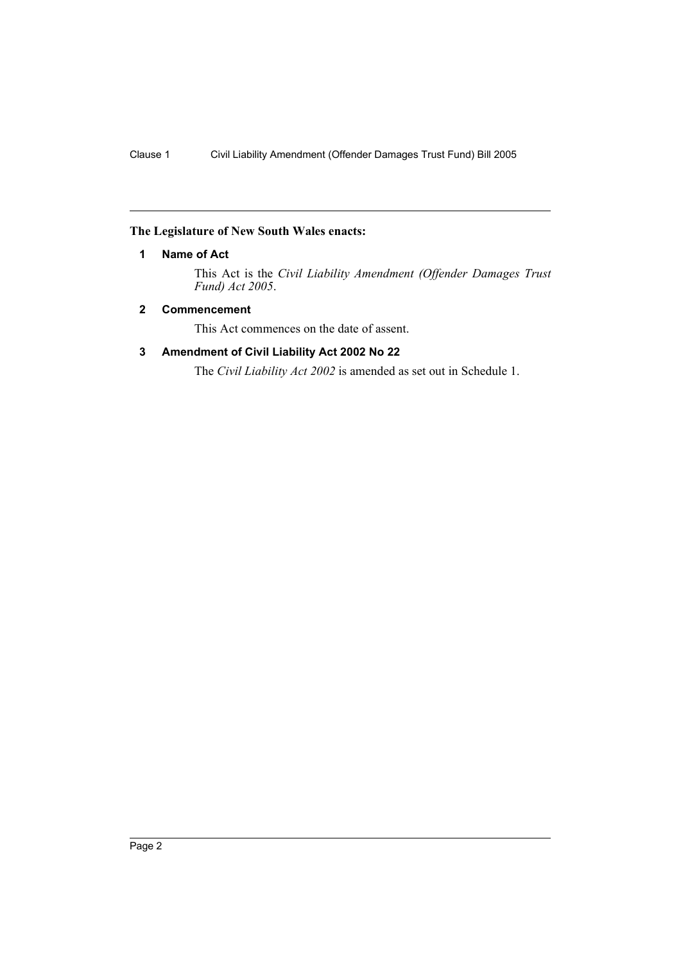## **The Legislature of New South Wales enacts:**

## **1 Name of Act**

This Act is the *Civil Liability Amendment (Offender Damages Trust Fund) Act 2005*.

## **2 Commencement**

This Act commences on the date of assent.

## **3 Amendment of Civil Liability Act 2002 No 22**

The *Civil Liability Act 2002* is amended as set out in Schedule 1.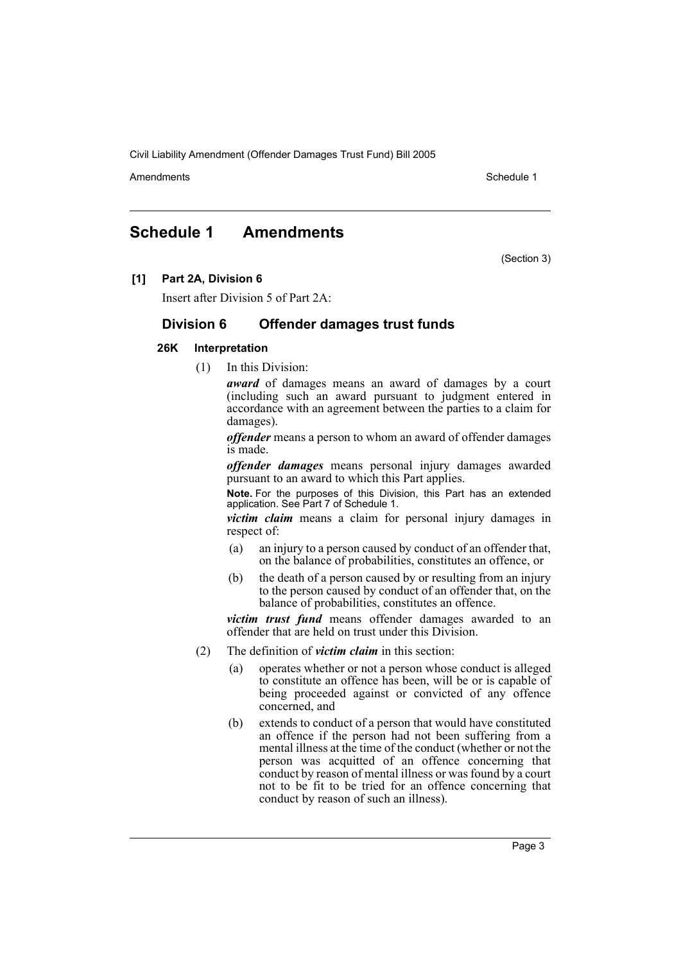Amendments **Amendments** Schedule 1

## **Schedule 1 Amendments**

(Section 3)

**[1] Part 2A, Division 6**

Insert after Division 5 of Part 2A:

## **Division 6 Offender damages trust funds**

#### **26K Interpretation**

(1) In this Division:

*award* of damages means an award of damages by a court (including such an award pursuant to judgment entered in accordance with an agreement between the parties to a claim for damages).

*offender* means a person to whom an award of offender damages is made.

*offender damages* means personal injury damages awarded pursuant to an award to which this Part applies.

**Note.** For the purposes of this Division, this Part has an extended application. See Part 7 of Schedule 1.

*victim claim* means a claim for personal injury damages in respect of:

- (a) an injury to a person caused by conduct of an offender that, on the balance of probabilities, constitutes an offence, or
- (b) the death of a person caused by or resulting from an injury to the person caused by conduct of an offender that, on the balance of probabilities, constitutes an offence.

*victim trust fund* means offender damages awarded to an offender that are held on trust under this Division.

- (2) The definition of *victim claim* in this section:
	- (a) operates whether or not a person whose conduct is alleged to constitute an offence has been, will be or is capable of being proceeded against or convicted of any offence concerned, and
	- (b) extends to conduct of a person that would have constituted an offence if the person had not been suffering from a mental illness at the time of the conduct (whether or not the person was acquitted of an offence concerning that conduct by reason of mental illness or was found by a court not to be fit to be tried for an offence concerning that conduct by reason of such an illness).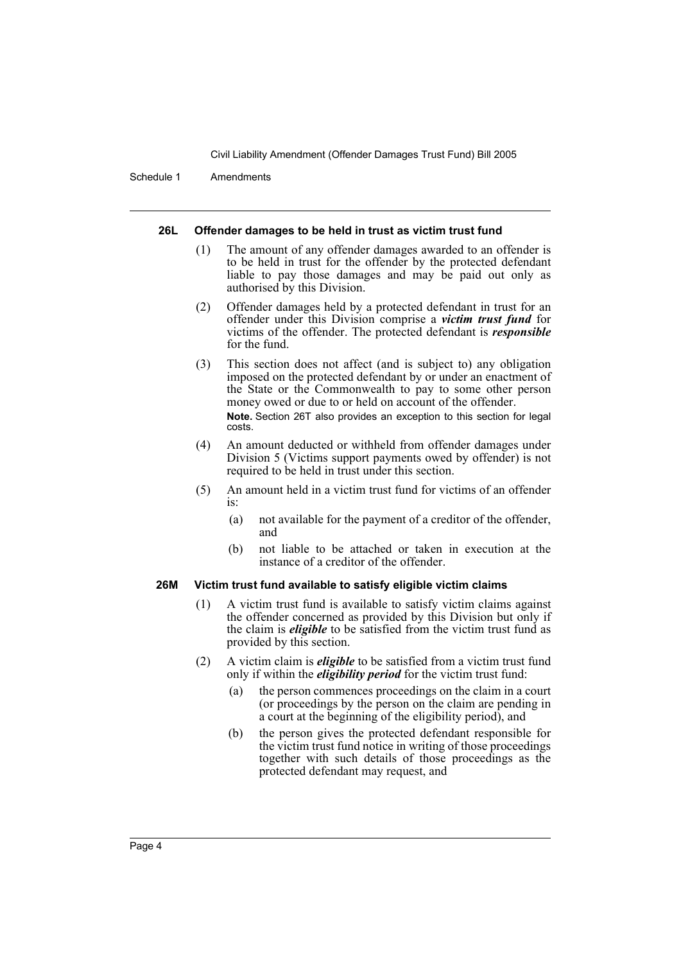Schedule 1 Amendments

#### **26L Offender damages to be held in trust as victim trust fund**

- (1) The amount of any offender damages awarded to an offender is to be held in trust for the offender by the protected defendant liable to pay those damages and may be paid out only as authorised by this Division.
- (2) Offender damages held by a protected defendant in trust for an offender under this Division comprise a *victim trust fund* for victims of the offender. The protected defendant is *responsible* for the fund.
- (3) This section does not affect (and is subject to) any obligation imposed on the protected defendant by or under an enactment of the State or the Commonwealth to pay to some other person money owed or due to or held on account of the offender. **Note.** Section 26T also provides an exception to this section for legal costs.
- (4) An amount deducted or withheld from offender damages under Division 5 (Victims support payments owed by offender) is not required to be held in trust under this section.
- (5) An amount held in a victim trust fund for victims of an offender is:
	- (a) not available for the payment of a creditor of the offender, and
	- (b) not liable to be attached or taken in execution at the instance of a creditor of the offender.

## **26M Victim trust fund available to satisfy eligible victim claims**

- (1) A victim trust fund is available to satisfy victim claims against the offender concerned as provided by this Division but only if the claim is *eligible* to be satisfied from the victim trust fund as provided by this section.
- (2) A victim claim is *eligible* to be satisfied from a victim trust fund only if within the *eligibility period* for the victim trust fund:
	- (a) the person commences proceedings on the claim in a court (or proceedings by the person on the claim are pending in a court at the beginning of the eligibility period), and
	- (b) the person gives the protected defendant responsible for the victim trust fund notice in writing of those proceedings together with such details of those proceedings as the protected defendant may request, and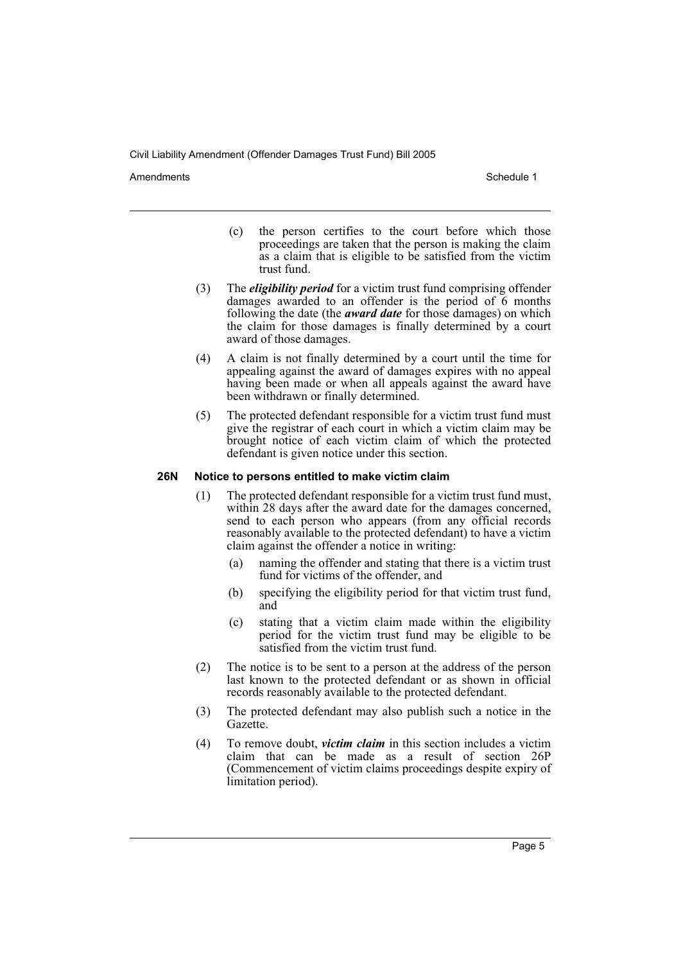Amendments **Amendments** Schedule 1

- (c) the person certifies to the court before which those proceedings are taken that the person is making the claim as a claim that is eligible to be satisfied from the victim trust fund.
- (3) The *eligibility period* for a victim trust fund comprising offender damages awarded to an offender is the period of 6 months following the date (the *award date* for those damages) on which the claim for those damages is finally determined by a court award of those damages.
- (4) A claim is not finally determined by a court until the time for appealing against the award of damages expires with no appeal having been made or when all appeals against the award have been withdrawn or finally determined.
- (5) The protected defendant responsible for a victim trust fund must give the registrar of each court in which a victim claim may be brought notice of each victim claim of which the protected defendant is given notice under this section.

## **26N Notice to persons entitled to make victim claim**

- (1) The protected defendant responsible for a victim trust fund must, within 28 days after the award date for the damages concerned, send to each person who appears (from any official records reasonably available to the protected defendant) to have a victim claim against the offender a notice in writing:
	- (a) naming the offender and stating that there is a victim trust fund for victims of the offender, and
	- (b) specifying the eligibility period for that victim trust fund, and
	- (c) stating that a victim claim made within the eligibility period for the victim trust fund may be eligible to be satisfied from the victim trust fund.
- (2) The notice is to be sent to a person at the address of the person last known to the protected defendant or as shown in official records reasonably available to the protected defendant.
- (3) The protected defendant may also publish such a notice in the Gazette.
- (4) To remove doubt, *victim claim* in this section includes a victim claim that can be made as a result of section 26P (Commencement of victim claims proceedings despite expiry of limitation period).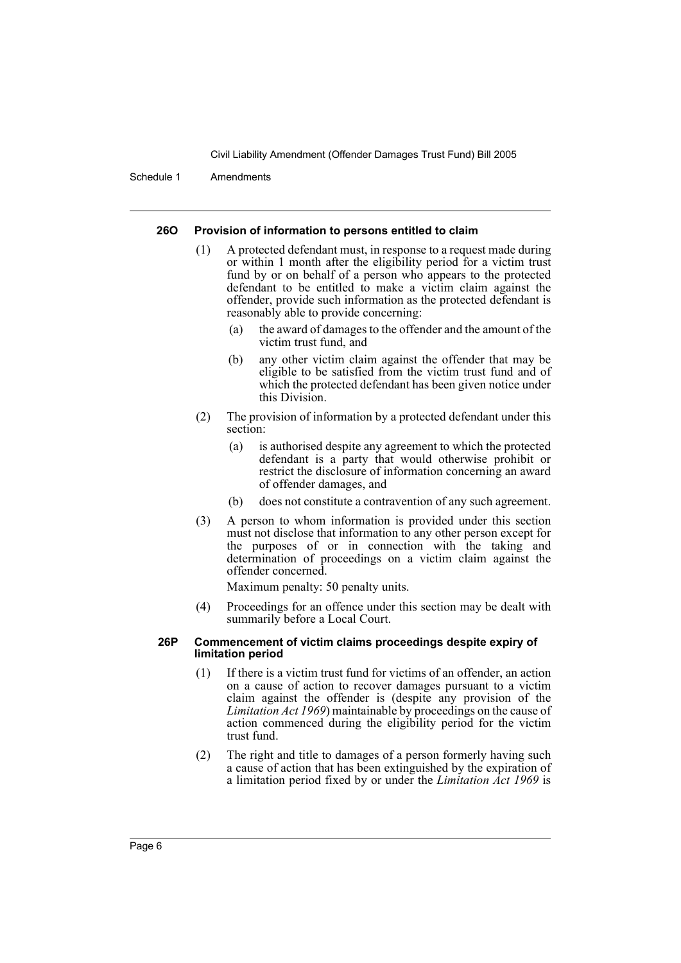Schedule 1 Amendments

#### **26O Provision of information to persons entitled to claim**

- (1) A protected defendant must, in response to a request made during or within 1 month after the eligibility period for a victim trust fund by or on behalf of a person who appears to the protected defendant to be entitled to make a victim claim against the offender, provide such information as the protected defendant is reasonably able to provide concerning:
	- (a) the award of damages to the offender and the amount of the victim trust fund, and
	- (b) any other victim claim against the offender that may be eligible to be satisfied from the victim trust fund and of which the protected defendant has been given notice under this Division.
- (2) The provision of information by a protected defendant under this section:
	- (a) is authorised despite any agreement to which the protected defendant is a party that would otherwise prohibit or restrict the disclosure of information concerning an award of offender damages, and
	- (b) does not constitute a contravention of any such agreement.
- (3) A person to whom information is provided under this section must not disclose that information to any other person except for the purposes of or in connection with the taking and determination of proceedings on a victim claim against the offender concerned.

Maximum penalty: 50 penalty units.

(4) Proceedings for an offence under this section may be dealt with summarily before a Local Court.

#### **26P Commencement of victim claims proceedings despite expiry of limitation period**

- (1) If there is a victim trust fund for victims of an offender, an action on a cause of action to recover damages pursuant to a victim claim against the offender is (despite any provision of the *Limitation Act 1969*) maintainable by proceedings on the cause of action commenced during the eligibility period for the victim trust fund.
- (2) The right and title to damages of a person formerly having such a cause of action that has been extinguished by the expiration of a limitation period fixed by or under the *Limitation Act 1969* is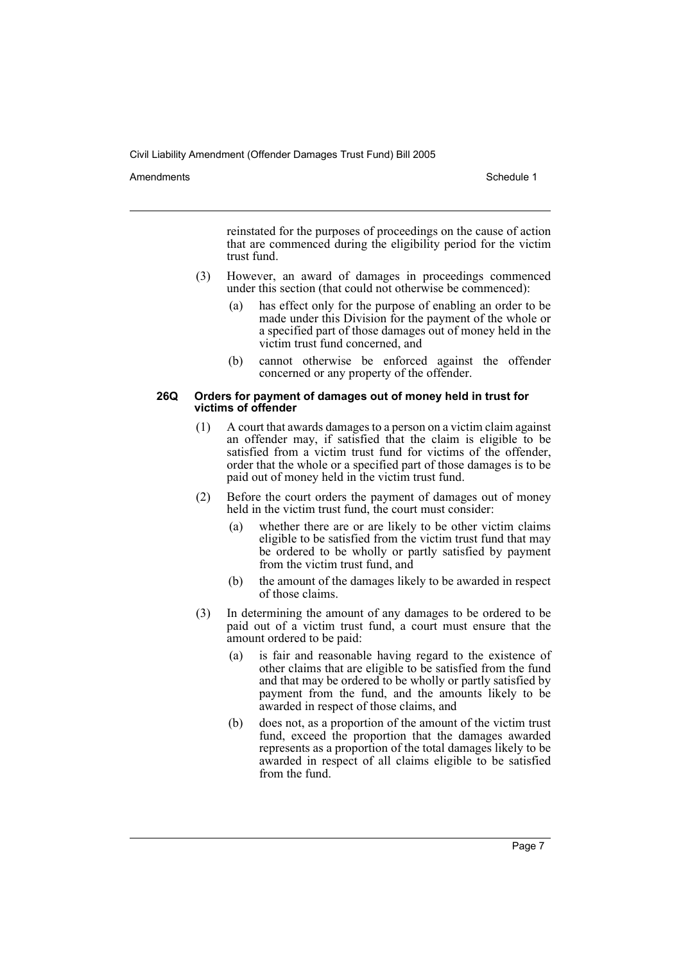Amendments **Amendments** Schedule 1

reinstated for the purposes of proceedings on the cause of action that are commenced during the eligibility period for the victim trust fund.

- (3) However, an award of damages in proceedings commenced under this section (that could not otherwise be commenced):
	- (a) has effect only for the purpose of enabling an order to be made under this Division for the payment of the whole or a specified part of those damages out of money held in the victim trust fund concerned, and
	- (b) cannot otherwise be enforced against the offender concerned or any property of the offender.

#### **26Q Orders for payment of damages out of money held in trust for victims of offender**

- (1) A court that awards damages to a person on a victim claim against an offender may, if satisfied that the claim is eligible to be satisfied from a victim trust fund for victims of the offender, order that the whole or a specified part of those damages is to be paid out of money held in the victim trust fund.
- (2) Before the court orders the payment of damages out of money held in the victim trust fund, the court must consider:
	- (a) whether there are or are likely to be other victim claims eligible to be satisfied from the victim trust fund that may be ordered to be wholly or partly satisfied by payment from the victim trust fund, and
	- (b) the amount of the damages likely to be awarded in respect of those claims.
- (3) In determining the amount of any damages to be ordered to be paid out of a victim trust fund, a court must ensure that the amount ordered to be paid:
	- (a) is fair and reasonable having regard to the existence of other claims that are eligible to be satisfied from the fund and that may be ordered to be wholly or partly satisfied by payment from the fund, and the amounts likely to be awarded in respect of those claims, and
	- (b) does not, as a proportion of the amount of the victim trust fund, exceed the proportion that the damages awarded represents as a proportion of the total damages likely to be awarded in respect of all claims eligible to be satisfied from the fund.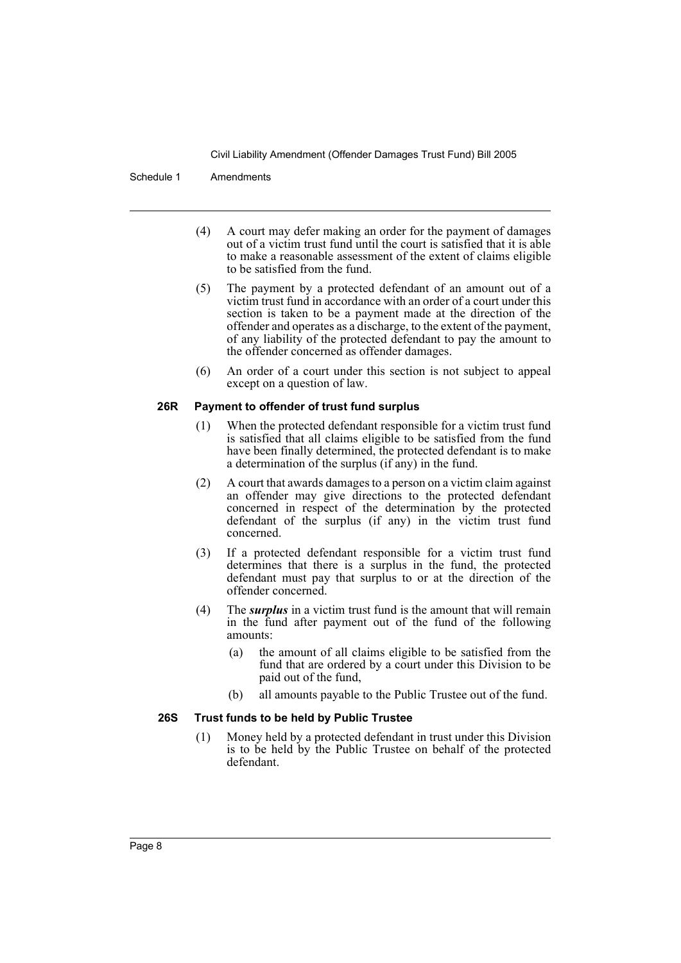#### Schedule 1 Amendments

- (4) A court may defer making an order for the payment of damages out of a victim trust fund until the court is satisfied that it is able to make a reasonable assessment of the extent of claims eligible to be satisfied from the fund.
- (5) The payment by a protected defendant of an amount out of a victim trust fund in accordance with an order of a court under this section is taken to be a payment made at the direction of the offender and operates as a discharge, to the extent of the payment, of any liability of the protected defendant to pay the amount to the offender concerned as offender damages.
- (6) An order of a court under this section is not subject to appeal except on a question of law.

## **26R Payment to offender of trust fund surplus**

- (1) When the protected defendant responsible for a victim trust fund is satisfied that all claims eligible to be satisfied from the fund have been finally determined, the protected defendant is to make a determination of the surplus (if any) in the fund.
- (2) A court that awards damages to a person on a victim claim against an offender may give directions to the protected defendant concerned in respect of the determination by the protected defendant of the surplus (if any) in the victim trust fund concerned.
- (3) If a protected defendant responsible for a victim trust fund determines that there is a surplus in the fund, the protected defendant must pay that surplus to or at the direction of the offender concerned.
- (4) The *surplus* in a victim trust fund is the amount that will remain in the fund after payment out of the fund of the following amounts:
	- (a) the amount of all claims eligible to be satisfied from the fund that are ordered by a court under this Division to be paid out of the fund,
	- (b) all amounts payable to the Public Trustee out of the fund.

## **26S Trust funds to be held by Public Trustee**

(1) Money held by a protected defendant in trust under this Division is to be held by the Public Trustee on behalf of the protected defendant.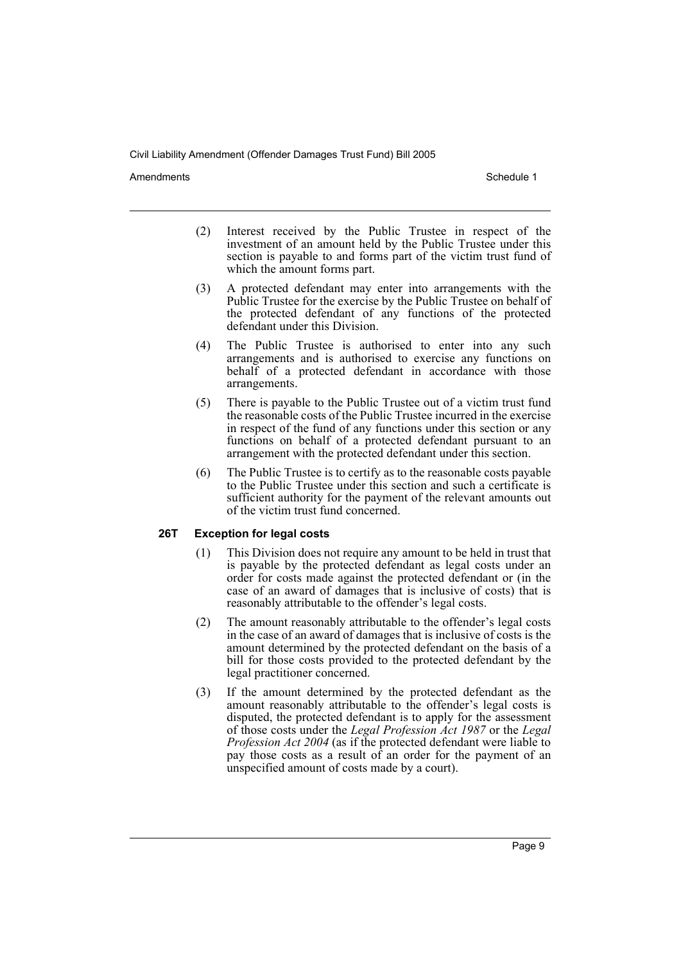Amendments **Amendments** Schedule 1

- (2) Interest received by the Public Trustee in respect of the investment of an amount held by the Public Trustee under this section is payable to and forms part of the victim trust fund of which the amount forms part.
- (3) A protected defendant may enter into arrangements with the Public Trustee for the exercise by the Public Trustee on behalf of the protected defendant of any functions of the protected defendant under this Division.
- (4) The Public Trustee is authorised to enter into any such arrangements and is authorised to exercise any functions on behalf of a protected defendant in accordance with those arrangements.
- (5) There is payable to the Public Trustee out of a victim trust fund the reasonable costs of the Public Trustee incurred in the exercise in respect of the fund of any functions under this section or any functions on behalf of a protected defendant pursuant to an arrangement with the protected defendant under this section.
- (6) The Public Trustee is to certify as to the reasonable costs payable to the Public Trustee under this section and such a certificate is sufficient authority for the payment of the relevant amounts out of the victim trust fund concerned.

## **26T Exception for legal costs**

- (1) This Division does not require any amount to be held in trust that is payable by the protected defendant as legal costs under an order for costs made against the protected defendant or (in the case of an award of damages that is inclusive of costs) that is reasonably attributable to the offender's legal costs.
- (2) The amount reasonably attributable to the offender's legal costs in the case of an award of damages that is inclusive of costs is the amount determined by the protected defendant on the basis of a bill for those costs provided to the protected defendant by the legal practitioner concerned.
- (3) If the amount determined by the protected defendant as the amount reasonably attributable to the offender's legal costs is disputed, the protected defendant is to apply for the assessment of those costs under the *Legal Profession Act 1987* or the *Legal Profession Act 2004* (as if the protected defendant were liable to pay those costs as a result of an order for the payment of an unspecified amount of costs made by a court).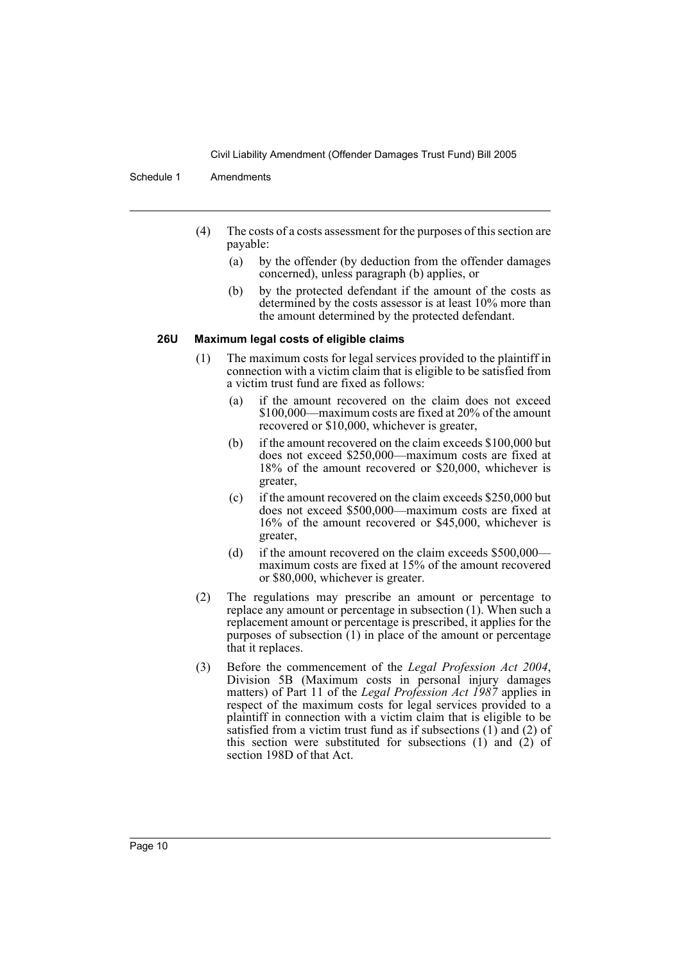Schedule 1 Amendments

- (4) The costs of a costs assessment for the purposes of this section are payable:
	- (a) by the offender (by deduction from the offender damages concerned), unless paragraph (b) applies, or
	- (b) by the protected defendant if the amount of the costs as determined by the costs assessor is at least 10% more than the amount determined by the protected defendant.

#### **26U Maximum legal costs of eligible claims**

- (1) The maximum costs for legal services provided to the plaintiff in connection with a victim claim that is eligible to be satisfied from a victim trust fund are fixed as follows:
	- (a) if the amount recovered on the claim does not exceed \$100,000—maximum costs are fixed at 20% of the amount recovered or \$10,000, whichever is greater,
	- (b) if the amount recovered on the claim exceeds \$100,000 but does not exceed \$250,000—maximum costs are fixed at 18% of the amount recovered or \$20,000, whichever is greater,
	- (c) if the amount recovered on the claim exceeds \$250,000 but does not exceed \$500,000—maximum costs are fixed at 16% of the amount recovered or \$45,000, whichever is greater,
	- (d) if the amount recovered on the claim exceeds \$500,000 maximum costs are fixed at 15% of the amount recovered or \$80,000, whichever is greater.
- (2) The regulations may prescribe an amount or percentage to replace any amount or percentage in subsection (1). When such a replacement amount or percentage is prescribed, it applies for the purposes of subsection (1) in place of the amount or percentage that it replaces.
- (3) Before the commencement of the *Legal Profession Act 2004*, Division 5B (Maximum costs in personal injury damages matters) of Part 11 of the *Legal Profession Act 1987* applies in respect of the maximum costs for legal services provided to a plaintiff in connection with a victim claim that is eligible to be satisfied from a victim trust fund as if subsections (1) and (2) of this section were substituted for subsections (1) and (2) of section 198D of that Act.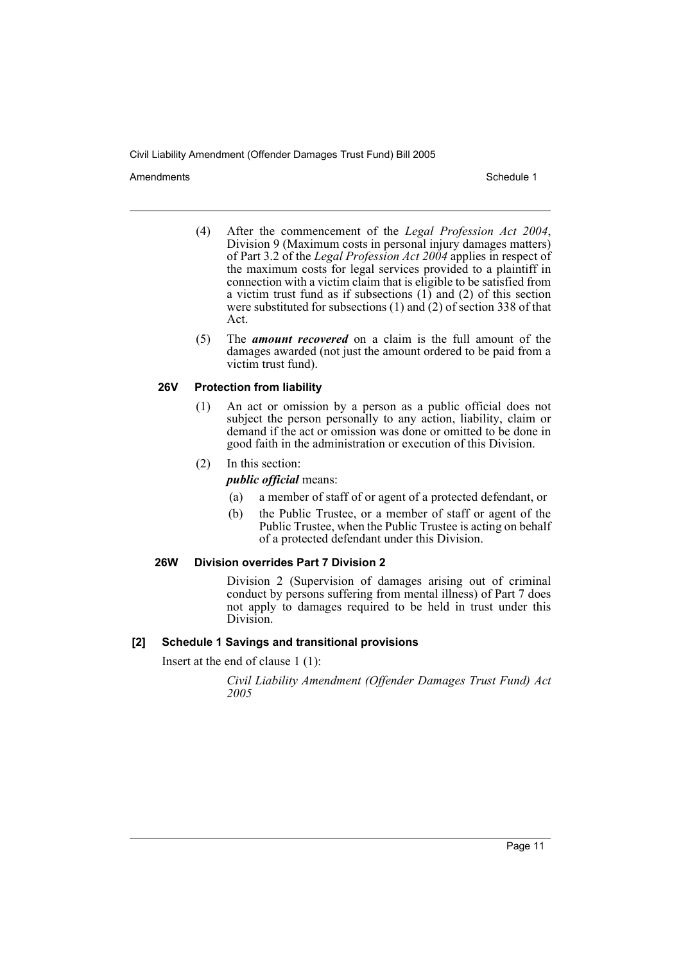#### Amendments **Amendments** Schedule 1

- (4) After the commencement of the *Legal Profession Act 2004*, Division 9 (Maximum costs in personal injury damages matters) of Part 3.2 of the *Legal Profession Act 2004* applies in respect of the maximum costs for legal services provided to a plaintiff in connection with a victim claim that is eligible to be satisfied from a victim trust fund as if subsections  $(1)$  and  $(2)$  of this section were substituted for subsections (1) and (2) of section 338 of that Act.
- (5) The *amount recovered* on a claim is the full amount of the damages awarded (not just the amount ordered to be paid from a victim trust fund).

## **26V Protection from liability**

(1) An act or omission by a person as a public official does not subject the person personally to any action, liability, claim or demand if the act or omission was done or omitted to be done in good faith in the administration or execution of this Division.

### (2) In this section:

*public official* means:

- (a) a member of staff of or agent of a protected defendant, or
- (b) the Public Trustee, or a member of staff or agent of the Public Trustee, when the Public Trustee is acting on behalf of a protected defendant under this Division.

#### **26W Division overrides Part 7 Division 2**

Division 2 (Supervision of damages arising out of criminal conduct by persons suffering from mental illness) of Part 7 does not apply to damages required to be held in trust under this Division.

#### **[2] Schedule 1 Savings and transitional provisions**

Insert at the end of clause 1 (1):

*Civil Liability Amendment (Offender Damages Trust Fund) Act 2005*